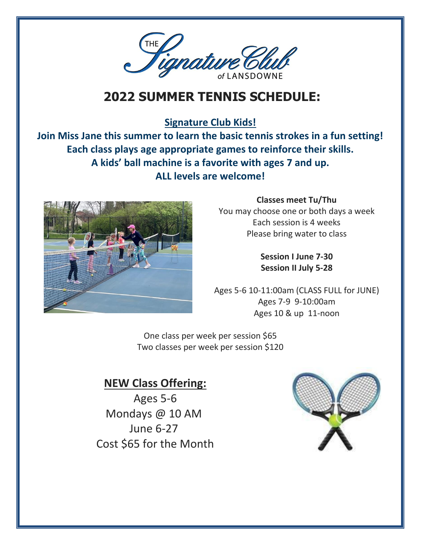

# **2022 SUMMER TENNIS SCHEDULE:**

**Signature Club Kids!**

**Join Miss Jane this summer to learn the basic tennis strokes in a fun setting! Each class plays age appropriate games to reinforce their skills. A kids' ball machine is a favorite with ages 7 and up. ALL levels are welcome!**



**Classes meet Tu/Thu** You may choose one or both days a week Each session is 4 weeks Please bring water to class

> **Session I June 7-30 Session II July 5-28**

Ages 5-6 10-11:00am (CLASS FULL for JUNE) Ages 7-9 9-10:00am Ages 10 & up 11-noon

One class per week per session \$65 Two classes per week per session \$120

## **NEW Class Offering:**

Ages 5-6 Mondays @ 10 AM June 6-27 Cost \$65 for the Month